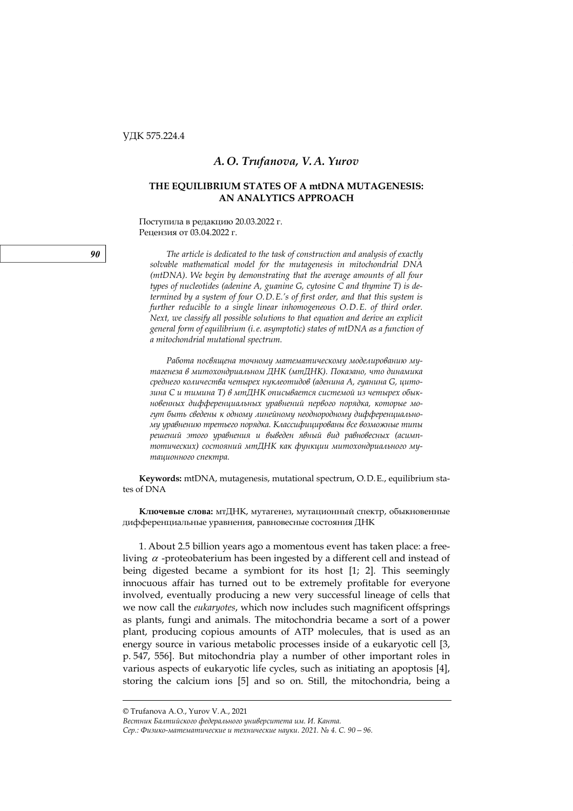## *A. O. Trufanova, V. A. Yurov*

# **THE EQUILIBRIUM STATES OF A mtDNA MUTAGENESIS: AN ANALYTICS APPROACH**

Поступила в редакцию 20.03.2022 г. Рецензия от 03.04.2022 г.

**90** *The article is dedicated to the task of construction and analysis of exactly solvable mathematical model for the mutagenesis in mitochondrial DNA (mtDNA). We begin by demonstrating that the average amounts of all four types of nucleotides (adenine A, guanine G, cytosine C and thymine T) is determined by a system of four O.D.E.'s of first order, and that this system is further reducible to a single linear inhomogeneous O.D.E. of third order. Next, we classify all possible solutions to that equation and derive an explicit general form of equilibrium (i.e. asymptotic) states of mtDNA as a function of a mitochondrial mutational spectrum.* 

> *Работа посвящена точному математическому моделированию мутагенеза в митохондриальном ДНК (мтДНК). Показано, что динамика среднего количества четырех нуклеотидов (аденина A, гуанина G, цитозина C и тимина T) в мтДНК описывается системой из четырех обыкновенных дифференциальных уравнений первого порядка, которые могут быть сведены к одному линейному неоднородному дифференциальному уравнению третьего порядка. Классифицированы все возможные типы решений этого уравнения и выведен явный вид равновесных (асимптотических) состояний мтДНК как функции митохондриального мутационного спектра.*

**Keywords:** mtDNA, mutagenesis, mutational spectrum, O.D.E., equilibrium states of DNA

**Ключевые слова:** мтДНК, мутагенез, мутационный спектр, обыкновенные дифференциальные уравнения, равновесные состояния ДНК

1. About 2.5 billion years ago a momentous event has taken place: a freeliving  $\alpha$  -proteobaterium has been ingested by a different cell and instead of being digested became a symbiont for its host [1; 2]. This seemingly innocuous affair has turned out to be extremely profitable for everyone involved, eventually producing a new very successful lineage of cells that we now call the *eukaryotes*, which now includes such magnificent offsprings as plants, fungi and animals. The mitochondria became a sort of a power plant, producing copious amounts of ATP molecules, that is used as an energy source in various metabolic processes inside of a eukaryotic cell [3, p. 547, 556]. But mitochondria play a number of other important roles in various aspects of eukaryotic life cycles, such as initiating an apoptosis [4], storing the calcium ions [5] and so on. Still, the mitochondria, being a

*Вестник Балтийского федерального университета им. И. Канта.* 

*Сер.: Физико-математические и технические науки. 2021. № 4. С. 90—96.*

<sup>©</sup> Trufanova A.O., Yurov V.A., 2021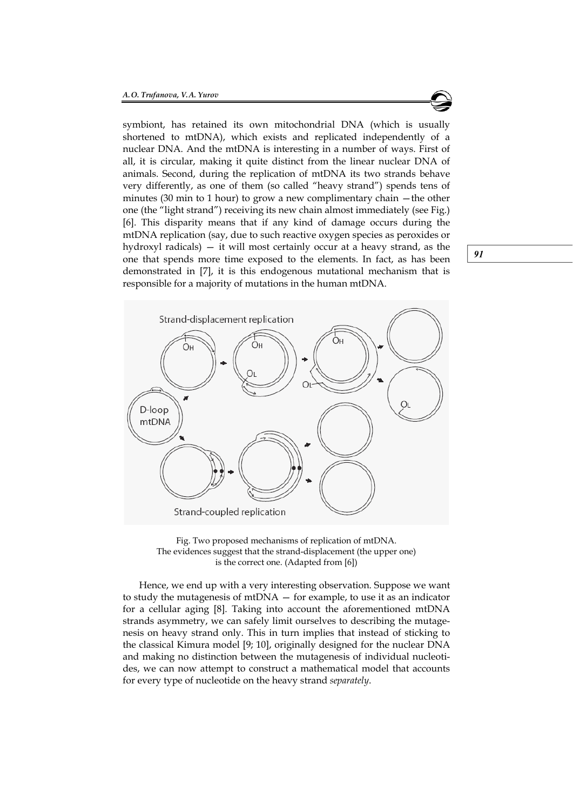one that spends more time exposed to the elements. In fact, as has been  $\boxed{91}$ symbiont, has retained its own mitochondrial DNA (which is usually shortened to mtDNA), which exists and replicated independently of a nuclear DNA. And the mtDNA is interesting in a number of ways. First of all, it is circular, making it quite distinct from the linear nuclear DNA of animals. Second, during the replication of mtDNA its two strands behave very differently, as one of them (so called "heavy strand") spends tens of minutes (30 min to 1 hour) to grow a new complimentary chain —the other one (the "light strand") receiving its new chain almost immediately (see Fig.) [6]. This disparity means that if any kind of damage occurs during the mtDNA replication (say, due to such reactive oxygen species as peroxides or hydroxyl radicals) — it will most certainly occur at a heavy strand, as the demonstrated in [7], it is this endogenous mutational mechanism that is responsible for a majority of mutations in the human mtDNA.



Fig. Two proposed mechanisms of replication of mtDNA. The evidences suggest that the strand-displacement (the upper one) is the correct one. (Adapted from [6])

Hence, we end up with a very interesting observation. Suppose we want to study the mutagenesis of mtDNA — for example, to use it as an indicator for a cellular aging [8]. Taking into account the aforementioned mtDNA strands asymmetry, we can safely limit ourselves to describing the mutagenesis on heavy strand only. This in turn implies that instead of sticking to the classical Kimura model [9; 10], originally designed for the nuclear DNA and making no distinction between the mutagenesis of individual nucleotides, we can now attempt to construct a mathematical model that accounts for every type of nucleotide on the heavy strand *separately*.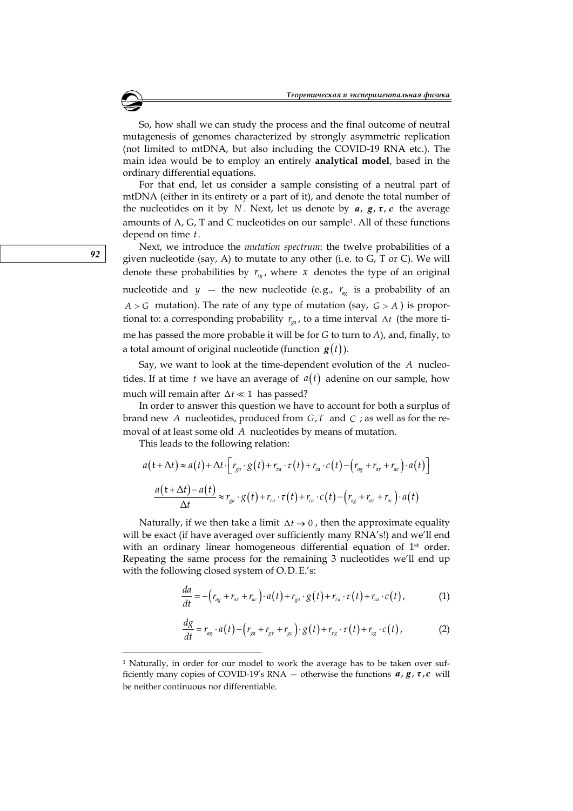So, how shall we can study the process and the final outcome of neutral mutagenesis of genomes characterized by strongly asymmetric replication (not limited to mtDNA, but also including the COVID-19 RNA etc.). The main idea would be to employ an entirely **analytical model**, based in the ordinary differential equations.

For that end, let us consider a sample consisting of a neutral part of mtDNA (either in its entirety or a part of it), and denote the total number of the nucleotides on it by *N*. Next, let us denote by  $a$ ,  $g$ ,  $\tau$ ,  $c$  the average amounts of A, G, T and C nucleotides on our sample1. All of these functions depend on time *t*.

92 given nucleotide (say, A) to mutate to any other (i.e. to G, T or C). We will Next, we introduce the *mutation spectrum*: the twelve probabilities of a denote these probabilities by  $r_{xy}$ , where  $x$  denotes the type of an original nucleotide and  $y$  – the new nucleotide (e.g.,  $r_{\alpha}$  is a probability of an  $A > G$  mutation). The rate of any type of mutation (say,  $G > A$ ) is proportional to: a corresponding probability  $r_{\rm ga}$ , to a time interval  $\Delta t$  (the more time has passed the more probable it will be for *G* to turn to *A*), and, finally, to a total amount of original nucleotide (function  $g(t)$ ).

Say, we want to look at the time-dependent evolution of the *A* nucleotides. If at time *t* we have an average of  $a(t)$  adenine on our sample, how much will remain after  $\Delta t \ll 1$  has passed?

In order to answer this question we have to account for both a surplus of brand new *A* nucleotides, produced from *G T*, and *C* ; as well as for the removal of at least some old *A* nucleotides by means of mutation.

This leads to the following relation:

$$
a(t+\Delta t) \approx a(t) + \Delta t \cdot \left[ r_{ga} \cdot g(t) + r_{ra} \cdot \tau(t) + r_{ca} \cdot c(t) - \left( r_{ag} + r_{ar} + r_{ac} \right) \cdot a(t) \right]
$$

$$
\frac{a(t+\Delta t) - a(t)}{\Delta t} \approx r_{ga} \cdot g(t) + r_{ra} \cdot \tau(t) + r_{ca} \cdot c(t) - \left( r_{ag} + r_{ar} + r_{ac} \right) \cdot a(t)
$$

Naturally, if we then take a limit  $\Delta t \rightarrow 0$ , then the approximate equality will be exact (if have averaged over sufficiently many RNA's!) and we'll end with an ordinary linear homogeneous differential equation of 1<sup>st</sup> order. Repeating the same process for the remaining 3 nucleotides we'll end up with the following closed system of O.D.E.'s:

$$
\frac{da}{dt} = -\left(r_{ag} + r_{ar} + r_{ac}\right) \cdot a(t) + r_{ga} \cdot g(t) + r_{ra} \cdot \tau(t) + r_{ca} \cdot c(t),\tag{1}
$$

$$
\frac{dg}{dt} = r_{ag} \cdot a(t) - \left(r_{ga} + r_{gr} + r_{gc}\right) \cdot g(t) + r_{rg} \cdot \tau(t) + r_{cg} \cdot c(t),\tag{2}
$$

 $\overline{a}$ 

<sup>&</sup>lt;sup>1</sup> Naturally, in order for our model to work the average has to be taken over sufficiently many copies of COVID-19's RNA – otherwise the functions  $a, g, \tau, c$  will be neither continuous nor differentiable.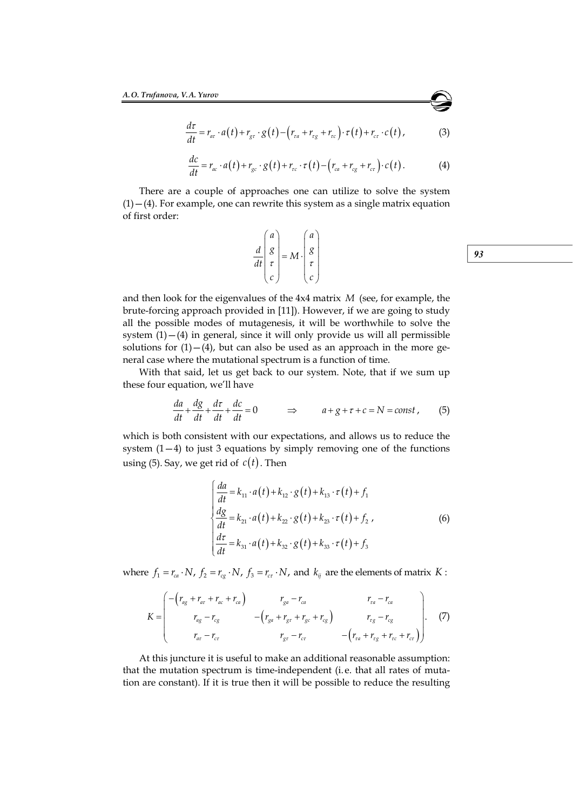$$
\frac{d\tau}{dt} = r_{ar} \cdot a(t) + r_{gr} \cdot g(t) - \left(r_{ra} + r_{rg} + r_{rc}\right) \cdot \tau(t) + r_{cr} \cdot c(t),\tag{3}
$$

$$
\frac{dc}{dt} = r_{ac} \cdot a(t) + r_{gc} \cdot g(t) + r_{rc} \cdot \tau(t) - \left(r_{ca} + r_{cg} + r_{cr}\right) \cdot c(t). \tag{4}
$$

There are a couple of approaches one can utilize to solve the system  $(1)$  – (4). For example, one can rewrite this system as a single matrix equation of first order:

|  | $rac{d}{dt}\begin{pmatrix} a \\ g \\ \tau \\ c \end{pmatrix} = M \cdot \begin{pmatrix} a \\ g \\ \tau \\ c \end{pmatrix}$ |  |
|--|---------------------------------------------------------------------------------------------------------------------------|--|
|  |                                                                                                                           |  |
|  |                                                                                                                           |  |

and then look for the eigenvalues of the 4x4 matrix *M* (see, for example, the brute-forcing approach provided in [11]). However, if we are going to study all the possible modes of mutagenesis, it will be worthwhile to solve the system  $(1) - (4)$  in general, since it will only provide us will all permissible solutions for  $(1) - (4)$ , but can also be used as an approach in the more general case where the mutational spectrum is a function of time.

With that said, let us get back to our system. Note, that if we sum up these four equation, we'll have

$$
\frac{da}{dt} + \frac{dg}{dt} + \frac{d\tau}{dt} + \frac{dc}{dt} = 0 \qquad \Rightarrow \qquad a + g + \tau + c = N = const , \tag{5}
$$

which is both consistent with our expectations, and allows us to reduce the system  $(1-4)$  to just 3 equations by simply removing one of the functions using (5). Say, we get rid of  $c(t)$ . Then

$$
\begin{cases}\n\frac{da}{dt} = k_{11} \cdot a(t) + k_{12} \cdot g(t) + k_{13} \cdot \tau(t) + f_1 \\
\frac{dg}{dt} = k_{21} \cdot a(t) + k_{22} \cdot g(t) + k_{23} \cdot \tau(t) + f_2\n\end{cases}
$$
\n(6)\n
$$
\frac{d\tau}{dt} = k_{31} \cdot a(t) + k_{32} \cdot g(t) + k_{33} \cdot \tau(t) + f_3
$$

where  $f_1 = r_{ca} \cdot N$ ,  $f_2 = r_{cg} \cdot N$ ,  $f_3 = r_{cr} \cdot N$ , and  $k_{ij}$  are the elements of matrix *K* :

$$
K = \begin{pmatrix} -(r_{ag} + r_{ar} + r_{ac} + r_{ca}) & r_{ga} - r_{ca} & r_{ra} - r_{ca} \\ r_{ag} - r_{cg} & -(r_{ga} + r_{gr} + r_{gc} + r_{cg}) & r_{rg} - r_{cg} \\ r_{ar} - r_{cr} & r_{gr} - r_{cr} & -(r_{ra} + r_{rg} + r_{rc} + r_{cr}) \end{pmatrix}.
$$
 (7)

At this juncture it is useful to make an additional reasonable assumption: that the mutation spectrum is time-independent (i. e. that all rates of mutation are constant). If it is true then it will be possible to reduce the resulting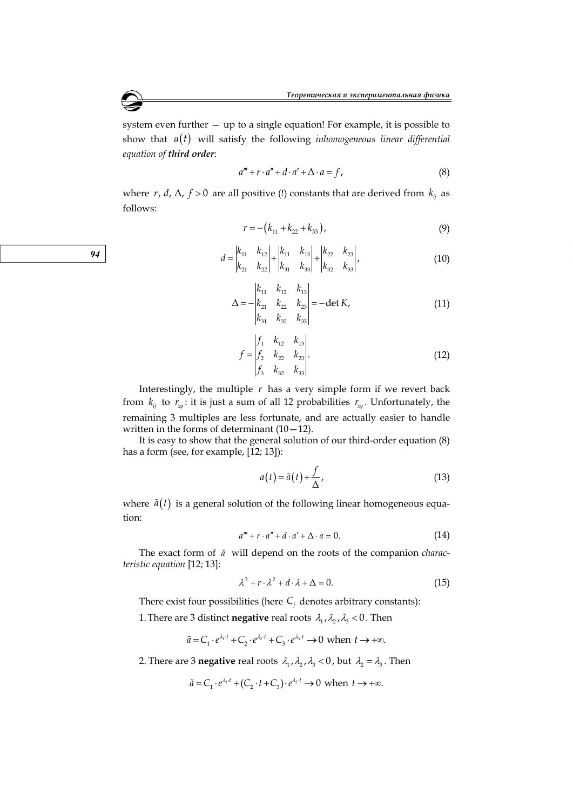system even further — up to a single equation! For example, it is possible to show that  $a(t)$  will satisfy the following *inhomogeneous linear differential equation of third order*:

$$
a''' + r \cdot a'' + d \cdot a' + \Delta \cdot a = f,
$$
\n(8)

where *r*, *d*,  $\Delta$ , *f* > 0 are all positive (!) constants that are derived from  $k_{ii}$  as follows:

$$
r = -\left(k_{11} + k_{22} + k_{33}\right),\tag{9}
$$

$$
d = \begin{vmatrix} k_{11} & k_{12} \\ k_{21} & k_{22} \end{vmatrix} + \begin{vmatrix} k_{11} & k_{13} \\ k_{31} & k_{33} \end{vmatrix} + \begin{vmatrix} k_{22} & k_{23} \\ k_{32} & k_{33} \end{vmatrix},
$$
(10)

$$
\Delta = -\begin{vmatrix} k_{11} & k_{12} & k_{13} \\ k_{21} & k_{22} & k_{23} \\ k_{31} & k_{32} & k_{33} \end{vmatrix} = -\det K,
$$
 (11)

$$
f = \begin{vmatrix} f_1 & k_{12} & k_{13} \\ f_2 & k_{22} & k_{23} \\ f_3 & k_{32} & k_{33} \end{vmatrix} .
$$
 (12)

Interestingly, the multiple  $r$  has a very simple form if we revert back from  $k_{ij}$  to  $r_{xy}$ : it is just a sum of all 12 probabilities  $r_{xy}$ . Unfortunately, the remaining 3 multiples are less fortunate, and are actually easier to handle written in the forms of determinant  $(10-12)$ .

It is easy to show that the general solution of our third-order equation (8) has a form (see, for example, [12; 13]):

$$
a(t) = \tilde{a}(t) + \frac{f}{\Delta},
$$
\n(13)

where  $\tilde{a}(t)$  is a general solution of the following linear homogeneous equation:

$$
a''' + r \cdot a'' + d \cdot a' + \Delta \cdot a = 0. \tag{14}
$$

The exact form of *a* will depend on the roots of the companion *characteristic equation* [12; 13]:

$$
\lambda^3 + r \cdot \lambda^2 + d \cdot \lambda + \Delta = 0. \tag{15}
$$

There exist four possibilities (here *Сj* denotes arbitrary constants):

1. There are 3 distinct **negative** real roots  $\lambda_1$ ,  $\lambda_2$ ,  $\lambda_3$  < 0. Then

$$
\tilde{a} = C_1 \cdot e^{\lambda_1 t} + C_2 \cdot e^{\lambda_2 t} + C_3 \cdot e^{\lambda_3 t} \to 0 \text{ when } t \to +\infty.
$$

2. There are 3 **negative** real roots  $\lambda_1$ ,  $\lambda_2$ ,  $\lambda_3$  < 0, but  $\lambda_2 = \lambda_3$ . Then

$$
\tilde{a} = C_1 \cdot e^{\lambda_1 t} + (C_2 \cdot t + C_3) \cdot e^{\lambda_2 t} \to 0 \text{ when } t \to +\infty.
$$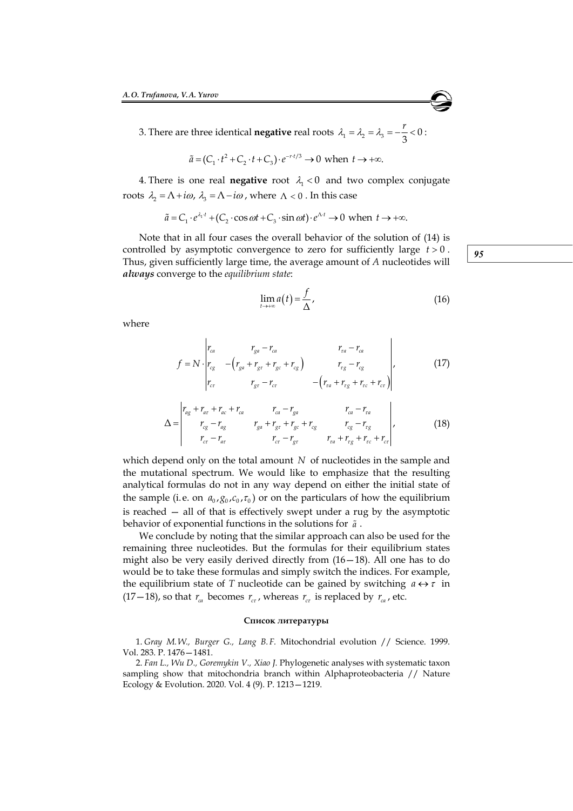3. There are three identical **negative** real roots  $\lambda_1 = \lambda_2 = \lambda_3 = -\frac{r}{3} < 0$ :

$$
\tilde{a} = (C_1 \cdot t^2 + C_2 \cdot t + C_3) \cdot e^{-r \cdot t/3} \to 0 \text{ when } t \to +\infty.
$$

4. There is one real **negative** root  $\lambda_1 < 0$  and two complex conjugate roots  $\lambda_2 = \Lambda + i\omega$ ,  $\lambda_3 = \Lambda - i\omega$ , where  $\Lambda < 0$ . In this case

$$
\tilde{a} = C_1 \cdot e^{\lambda_1 t} + (C_2 \cdot \cos \omega t + C_3 \cdot \sin \omega t) \cdot e^{\Lambda t} \to 0 \text{ when } t \to +\infty.
$$

controlled by asymptotic convergence to zero for sufficiently large  $t > 0$ . Note that in all four cases the overall behavior of the solution of (14) is Thus, given sufficiently large time, the average amount of *A* nucleotides will *always* converge to the *equilibrium state*:

$$
\lim_{t \to +\infty} a(t) = \frac{f}{\Delta},\tag{16}
$$

where

$$
f = N \cdot \begin{vmatrix} r_{ca} & r_{ga} - r_{ca} & r_{ra} - r_{ca} \\ r_{cg} & -(r_{ga} + r_{gr} + r_{gc} + r_{cg}) & r_{rg} - r_{cg} \\ r_{cr} & r_{gr} - r_{cr} & -(r_{ra} + r_{rg} + r_{rc} + r_{cr}) \end{vmatrix},
$$
(17)

$$
\Delta = \begin{vmatrix} r_{ag} + r_{ar} + r_{ac} + r_{ca} & r_{ca} - r_{ga} & r_{ca} - r_{ra} \\ r_{cg} - r_{ag} & r_{ga} + r_{gr} + r_{gc} + r_{cg} & r_{cg} - r_{rg} \\ r_{cr} - r_{ar} & r_{cr} - r_{gr} & r_{ra} + r_{rg} + r_{rc} + r_{cr} \end{vmatrix},
$$
(18)

which depend only on the total amount *N* of nucleotides in the sample and the mutational spectrum. We would like to emphasize that the resulting analytical formulas do not in any way depend on either the initial state of the sample (i.e. on  $a_0$ ,  $g_0$ ,  $c_0$ ,  $\tau_0$ ) or on the particulars of how the equilibrium is reached — all of that is effectively swept under a rug by the asymptotic behavior of exponential functions in the solutions for *a* .

We conclude by noting that the similar approach can also be used for the remaining three nucleotides. But the formulas for their equilibrium states might also be very easily derived directly from (16—18). All one has to do would be to take these formulas and simply switch the indices. For example, the equilibrium state of *T* nucleotide can be gained by switching  $a \leftrightarrow \tau$  in  $(17-18)$ , so that  $r_{ca}$  becomes  $r_{cr}$ , whereas  $r_{cr}$  is replaced by  $r_{ca}$ , etc.

#### **Список литературы**

1. *Gray M.W., Burger G., Lang B.F.* Mitochondrial evolution // Science. 1999. Vol. 283. P. 1476—1481.

2. *Fan L., Wu D., Goremykin V., Xiao J.* Phylogenetic analyses with systematic taxon sampling show that mitochondria branch within Alphaproteobacteria // Nature Ecology & Evolution. 2020. Vol. 4 (9). P. 1213—1219.